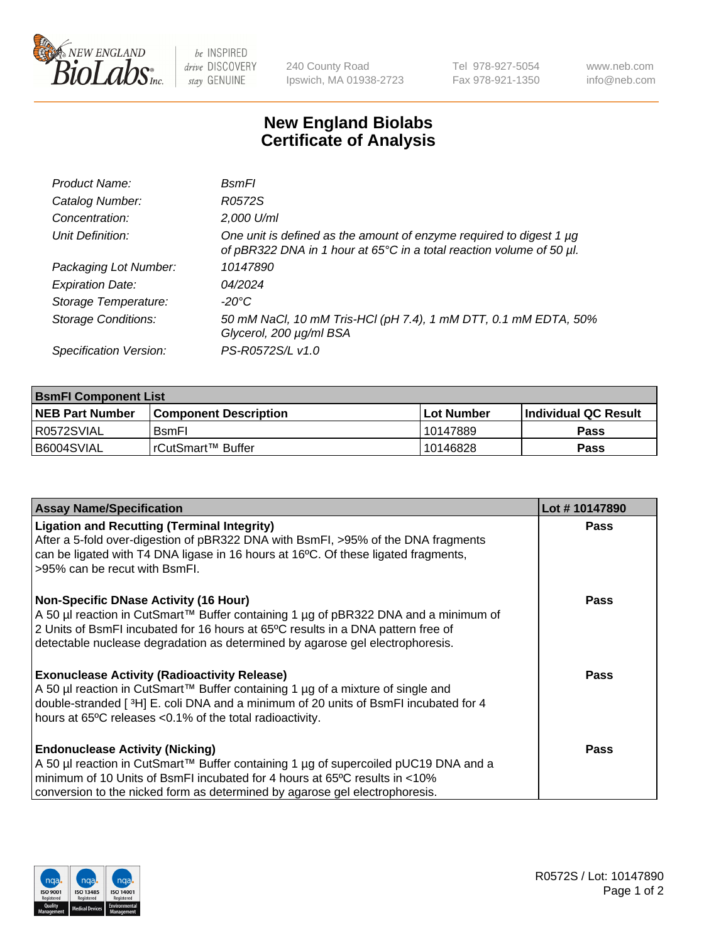

 $be$  INSPIRED drive DISCOVERY stay GENUINE

240 County Road Ipswich, MA 01938-2723 Tel 978-927-5054 Fax 978-921-1350 www.neb.com info@neb.com

## **New England Biolabs Certificate of Analysis**

| Product Name:              | <b>B</b> smFl                                                                                                                               |
|----------------------------|---------------------------------------------------------------------------------------------------------------------------------------------|
| Catalog Number:            | R0572S                                                                                                                                      |
| Concentration:             | 2,000 U/ml                                                                                                                                  |
| Unit Definition:           | One unit is defined as the amount of enzyme required to digest 1 µg<br>of pBR322 DNA in 1 hour at 65°C in a total reaction volume of 50 µl. |
| Packaging Lot Number:      | 10147890                                                                                                                                    |
| <b>Expiration Date:</b>    | 04/2024                                                                                                                                     |
| Storage Temperature:       | -20°C                                                                                                                                       |
| <b>Storage Conditions:</b> | 50 mM NaCl, 10 mM Tris-HCl (pH 7.4), 1 mM DTT, 0.1 mM EDTA, 50%<br>Glycerol, 200 µg/ml BSA                                                  |
| Specification Version:     | PS-R0572S/L v1.0                                                                                                                            |

| <b>BsmFI Component List</b> |                         |              |                             |  |
|-----------------------------|-------------------------|--------------|-----------------------------|--|
| <b>NEB Part Number</b>      | l Component Description | l Lot Number | <b>Individual QC Result</b> |  |
| I R0572SVIAL                | <b>B</b> smFI           | 10147889     | Pass                        |  |
| B6004SVIAL                  | l rCutSmart™ Buffer_    | 10146828     | Pass                        |  |

| <b>Assay Name/Specification</b>                                                                                                                                                                                                                                                                          | Lot #10147890 |
|----------------------------------------------------------------------------------------------------------------------------------------------------------------------------------------------------------------------------------------------------------------------------------------------------------|---------------|
| <b>Ligation and Recutting (Terminal Integrity)</b><br>After a 5-fold over-digestion of pBR322 DNA with BsmFI, >95% of the DNA fragments<br>can be ligated with T4 DNA ligase in 16 hours at 16°C. Of these ligated fragments,<br>>95% can be recut with BsmFI.                                           | <b>Pass</b>   |
| <b>Non-Specific DNase Activity (16 Hour)</b><br>A 50 µl reaction in CutSmart™ Buffer containing 1 µg of pBR322 DNA and a minimum of<br>2 Units of BsmFI incubated for 16 hours at 65°C results in a DNA pattern free of<br>detectable nuclease degradation as determined by agarose gel electrophoresis. | Pass          |
| <b>Exonuclease Activity (Radioactivity Release)</b><br>A 50 µl reaction in CutSmart™ Buffer containing 1 µg of a mixture of single and<br>double-stranded [3H] E. coli DNA and a minimum of 20 units of BsmFI incubated for 4<br>hours at 65°C releases <0.1% of the total radioactivity.                | Pass          |
| <b>Endonuclease Activity (Nicking)</b><br>A 50 µl reaction in CutSmart™ Buffer containing 1 µg of supercoiled pUC19 DNA and a<br>minimum of 10 Units of BsmFI incubated for 4 hours at 65 <sup>o</sup> C results in <10%<br>conversion to the nicked form as determined by agarose gel electrophoresis.  | Pass          |